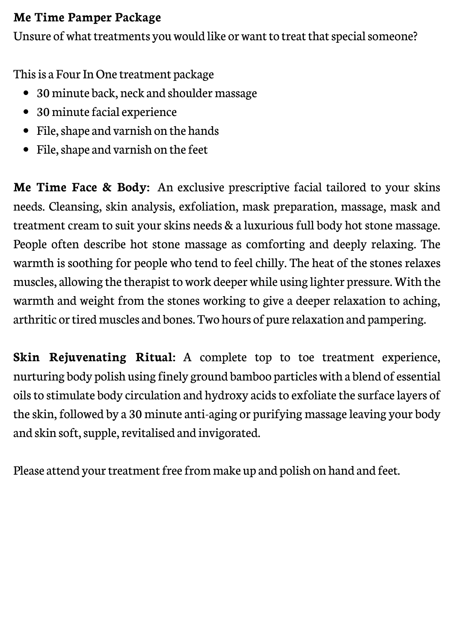## **Me Time Pamper Package**

Unsure of what treatments you would like or want to treat that special someone?

This is a Four In One treatment package

- 30 minute back, neck and shoulder massage
- 30 minute facial experience
- File, shape and varnish on the hands
- File, shape and varnish on the feet

**Me Time Face & Body:** An exclusive prescriptive facial tailored to your skins needs. Cleansing, skin analysis, exfoliation, mask preparation, massage, mask and treatment cream to suit your skins needs & a luxurious full body hot stone massage. People often describe hot stone massage as comforting and deeply relaxing. The warmth is soothing for people who tend to feel chilly. The heat of the stones relaxes muscles, allowing the therapist to work deeper while using lighter pressure. With the warmth and weight from the stones working to give a deeper relaxation to aching, arthritic or tired muscles and bones. Two hours of pure relaxation and pampering.

**Skin Rejuvenating Ritual:** A complete top to toe treatment experience, nurturing body polish using finely ground bamboo particles with a blend of essential oils to stimulate body circulation and hydroxy acids to exfoliate the surface layers of the skin, followed by a 30 minute anti-aging or purifying massage leaving your body and skin soft, supple, revitalised and invigorated.

Please attend your treatment free from make up and polish on hand and feet.